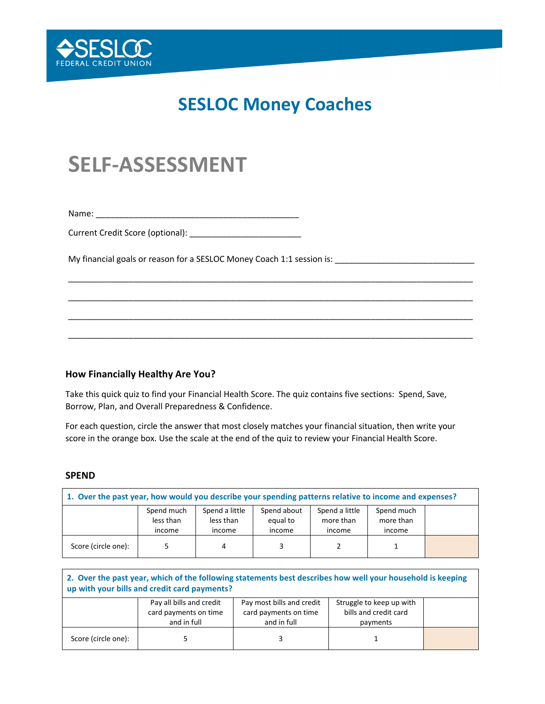

## **SESLOC Money Coaches**

# **SELF-ASSESSMENT**

Name: \_\_\_\_\_\_\_\_\_\_\_\_\_\_\_\_\_\_\_\_\_\_\_\_\_\_\_\_\_\_\_\_\_\_\_\_\_\_\_\_\_\_\_

Current Credit Score (optional): \_\_\_\_\_\_\_\_\_\_\_\_\_\_\_\_\_\_\_\_\_\_\_\_

My financial goals or reason for a SESLOC Money Coach 1:1 session is: \_\_\_\_\_\_\_\_\_\_\_\_\_\_\_\_\_\_\_\_\_\_\_\_\_\_\_\_\_\_

#### **How Financially Healthy Are You?**

Take this quick quiz to find your Financial Health Score. The quiz contains five sections: Spend, Save, Borrow, Plan, and Overall Preparedness & Confidence.

\_\_\_\_\_\_\_\_\_\_\_\_\_\_\_\_\_\_\_\_\_\_\_\_\_\_\_\_\_\_\_\_\_\_\_\_\_\_\_\_\_\_\_\_\_\_\_\_\_\_\_\_\_\_\_\_\_\_\_\_\_\_\_\_\_\_\_\_\_\_\_\_\_\_\_\_\_\_\_\_\_\_\_\_\_\_\_

\_\_\_\_\_\_\_\_\_\_\_\_\_\_\_\_\_\_\_\_\_\_\_\_\_\_\_\_\_\_\_\_\_\_\_\_\_\_\_\_\_\_\_\_\_\_\_\_\_\_\_\_\_\_\_\_\_\_\_\_\_\_\_\_\_\_\_\_\_\_\_\_\_\_\_\_\_\_\_\_\_\_\_\_\_\_\_

\_\_\_\_\_\_\_\_\_\_\_\_\_\_\_\_\_\_\_\_\_\_\_\_\_\_\_\_\_\_\_\_\_\_\_\_\_\_\_\_\_\_\_\_\_\_\_\_\_\_\_\_\_\_\_\_\_\_\_\_\_\_\_\_\_\_\_\_\_\_\_\_\_\_\_\_\_\_\_\_\_\_\_\_\_\_\_

\_\_\_\_\_\_\_\_\_\_\_\_\_\_\_\_\_\_\_\_\_\_\_\_\_\_\_\_\_\_\_\_\_\_\_\_\_\_\_\_\_\_\_\_\_\_\_\_\_\_\_\_\_\_\_\_\_\_\_\_\_\_\_\_\_\_\_\_\_\_\_\_\_\_\_\_\_\_\_\_\_\_\_\_\_\_\_

For each question, circle the answer that most closely matches your financial situation, then write your score in the orange box. Use the scale at the end of the quiz to review your Financial Health Score.

#### **SPEND**

| 1. Over the past year, how would you describe your spending patterns relative to income and expenses? |                                   |                                       |                                   |                                       |                                   |  |  |  |  |
|-------------------------------------------------------------------------------------------------------|-----------------------------------|---------------------------------------|-----------------------------------|---------------------------------------|-----------------------------------|--|--|--|--|
|                                                                                                       | Spend much<br>less than<br>income | Spend a little<br>less than<br>income | Spend about<br>equal to<br>income | Spend a little<br>more than<br>income | Spend much<br>more than<br>income |  |  |  |  |
| Score (circle one):                                                                                   |                                   |                                       |                                   |                                       |                                   |  |  |  |  |

| 2. Over the past year, which of the following statements best describes how well your household is keeping<br>up with your bills and credit card payments? |                          |                           |                          |  |  |  |  |  |  |  |
|------------------------------------------------------------------------------------------------------------------------------------------------------------|--------------------------|---------------------------|--------------------------|--|--|--|--|--|--|--|
|                                                                                                                                                            | Pay all bills and credit | Pay most bills and credit | Struggle to keep up with |  |  |  |  |  |  |  |
|                                                                                                                                                            | card payments on time    | card payments on time     | bills and credit card    |  |  |  |  |  |  |  |
|                                                                                                                                                            | and in full              | and in full               | payments                 |  |  |  |  |  |  |  |
| Score (circle one):                                                                                                                                        |                          |                           |                          |  |  |  |  |  |  |  |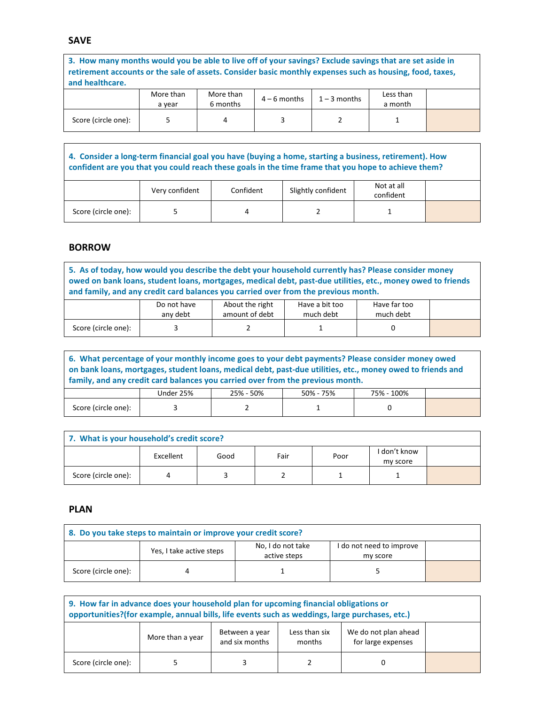#### **SAVE**

**3. How many months would you be able to live off of your savings? Exclude savings that are set aside in retirement accounts or the sale of assets. Consider basic monthly expenses such as housing, food, taxes, and healthcare.**

|                     | More than<br>a vear | More than<br>6 months | $4 - 6$ months | $1 - 3$ months | Less than<br>a month |  |
|---------------------|---------------------|-----------------------|----------------|----------------|----------------------|--|
| Score (circle one): |                     |                       |                |                |                      |  |

**4. Consider a long-term financial goal you have (buying a home, starting a business, retirement). How confident are you that you could reach these goals in the time frame that you hope to achieve them?**

|                     | Very confident | Confident | Slightly confident | Not at all<br>confident |  |
|---------------------|----------------|-----------|--------------------|-------------------------|--|
| Score (circle one): |                |           |                    |                         |  |

#### **BORROW**

**5. As of today, how would you describe the debt your household currently has? Please consider money owed on bank loans, student loans, mortgages, medical debt, past-due utilities, etc., money owed to friends and family, and any credit card balances you carried over from the previous month.**

|                     | Do not have<br>any debt | About the right<br>amount of debt | Have a bit too<br>much debt | Have far too<br>much debt |  |
|---------------------|-------------------------|-----------------------------------|-----------------------------|---------------------------|--|
| Score (circle one): |                         |                                   |                             |                           |  |

| 6. What percentage of your monthly income goes to your debt payments? Please consider money owed<br>on bank loans, mortgages, student loans, medical debt, past-due utilities, etc., money owed to friends and<br>family, and any credit card balances you carried over from the previous month. |           |                                      |  |   |  |  |  |
|--------------------------------------------------------------------------------------------------------------------------------------------------------------------------------------------------------------------------------------------------------------------------------------------------|-----------|--------------------------------------|--|---|--|--|--|
|                                                                                                                                                                                                                                                                                                  | Under 25% | 25% - 50%<br>50% - 75%<br>75% - 100% |  |   |  |  |  |
| Score (circle one):                                                                                                                                                                                                                                                                              |           |                                      |  | O |  |  |  |

| 7. What is your household's credit score? |           |      |      |      |                          |  |  |  |
|-------------------------------------------|-----------|------|------|------|--------------------------|--|--|--|
|                                           | Excellent | Good | Fair | Poor | I don't know<br>my score |  |  |  |
| Score (circle one):                       |           |      |      |      |                          |  |  |  |

#### **PLAN**

| 8. Do you take steps to maintain or improve your credit score? |                          |                                   |                                      |  |  |  |  |  |
|----------------------------------------------------------------|--------------------------|-----------------------------------|--------------------------------------|--|--|--|--|--|
|                                                                | Yes, I take active steps | No, I do not take<br>active steps | I do not need to improve<br>my score |  |  |  |  |  |
| Score (circle one):                                            |                          |                                   |                                      |  |  |  |  |  |

| 9. How far in advance does your household plan for upcoming financial obligations or<br>opportunities?(for example, annual bills, life events such as weddings, large purchases, etc.) |                                                                                                                               |  |  |  |  |  |  |  |
|----------------------------------------------------------------------------------------------------------------------------------------------------------------------------------------|-------------------------------------------------------------------------------------------------------------------------------|--|--|--|--|--|--|--|
|                                                                                                                                                                                        | We do not plan ahead<br>Less than six<br>Between a year<br>More than a year<br>and six months<br>for large expenses<br>months |  |  |  |  |  |  |  |
| Score (circle one):                                                                                                                                                                    |                                                                                                                               |  |  |  |  |  |  |  |